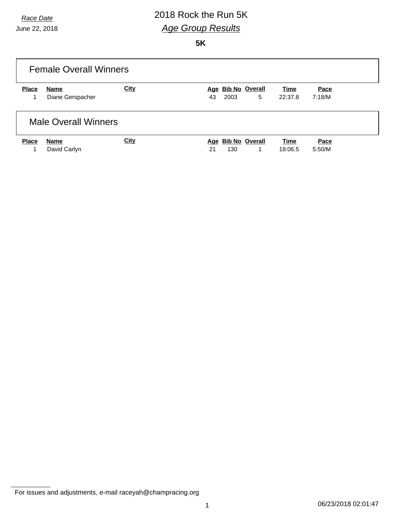# *Race Date* 2018 Rock the Run 5K *Age Group Results*

**5K**

| <b>Female Overall Winners</b> |                             |      |                                      |                 |                |  |  |  |
|-------------------------------|-----------------------------|------|--------------------------------------|-----------------|----------------|--|--|--|
| <b>Place</b>                  | Name                        | City | Age Bib No Overall                   | Time            | Pace           |  |  |  |
|                               | Diane Gerspacher            |      | 5<br>2003<br>43                      | 22:37.8         | 7:18/M         |  |  |  |
|                               | <b>Male Overall Winners</b> |      |                                      |                 |                |  |  |  |
| <b>Place</b>                  | Name<br>David Carlyn        | City | Age Bib No Overall<br>130<br>21<br>1 | Time<br>18:06.5 | Pace<br>5:50/M |  |  |  |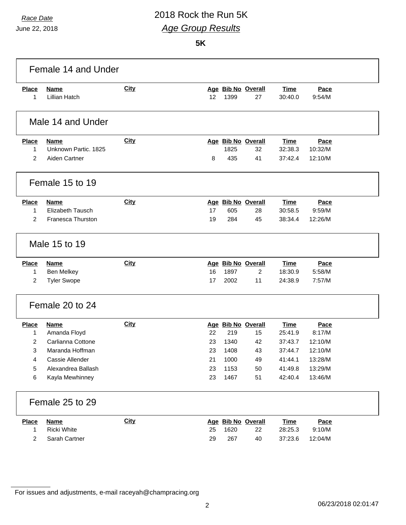### *Race Date* 2018 Rock the Run 5K *Age Group Results*

**5K**

| Female 14 and Under |                         |             |    |      |                    |             |         |  |
|---------------------|-------------------------|-------------|----|------|--------------------|-------------|---------|--|
| <b>Place</b>        | <b>Name</b>             | <b>City</b> |    |      | Age Bib No Overall | <b>Time</b> | Pace    |  |
| 1                   | <b>Lillian Hatch</b>    |             | 12 | 1399 | 27                 | 30:40.0     | 9:54/M  |  |
|                     | Male 14 and Under       |             |    |      |                    |             |         |  |
| <b>Place</b>        | <b>Name</b>             | City        |    |      | Age Bib No Overall | <b>Time</b> | Pace    |  |
| 1                   | Unknown Partic, 1825    |             |    | 1825 | 32                 | 32:38.3     | 10:32/M |  |
| 2                   | Aiden Cartner           |             | 8  | 435  | 41                 | 37:42.4     | 12:10/M |  |
|                     | Female 15 to 19         |             |    |      |                    |             |         |  |
| <b>Place</b>        | <b>Name</b>             | City        |    |      | Age Bib No Overall | <b>Time</b> | Pace    |  |
| 1                   | <b>Elizabeth Tausch</b> |             | 17 | 605  | 28                 | 30:58.5     | 9:59/M  |  |
| 2                   | Franesca Thurston       |             | 19 | 284  | 45                 | 38:34.4     | 12:26/M |  |
|                     | Male 15 to 19           |             |    |      |                    |             |         |  |
| <b>Place</b>        | <b>Name</b>             | <b>City</b> |    |      | Age Bib No Overall | <b>Time</b> | Pace    |  |
| 1                   | Ben Melkey              |             | 16 | 1897 | 2                  | 18:30.9     | 5:58/M  |  |
| 2                   | <b>Tyler Swope</b>      |             | 17 | 2002 | 11                 | 24:38.9     | 7:57/M  |  |
|                     | Female 20 to 24         |             |    |      |                    |             |         |  |
| <b>Place</b>        | <b>Name</b>             | <b>City</b> |    |      | Age Bib No Overall | <b>Time</b> | Pace    |  |
| 1                   | Amanda Floyd            |             | 22 | 219  | 15                 | 25:41.9     | 8:17/M  |  |
| 2                   | Carlianna Cottone       |             | 23 | 1340 | 42                 | 37:43.7     | 12:10/M |  |
| 3                   | Maranda Hoffman         |             | 23 | 1408 | 43                 | 37:44.7     | 12:10/M |  |
| 4                   | Cassie Allender         |             | 21 | 1000 | 49                 | 41:44.1     | 13:28/M |  |
| 5                   | Alexandrea Ballash      |             | 23 | 1153 | 50                 | 41:49.8     | 13:29/M |  |
| 6                   | Kayla Mewhinney         |             | 23 | 1467 | 51                 | 42:40.4     | 13:46/M |  |
|                     | Female 25 to 29         |             |    |      |                    |             |         |  |
| <b>Place</b>        | <b>Name</b>             | <b>City</b> |    |      | Age Bib No Overall | <b>Time</b> | Pace    |  |
| 1                   | Ricki White             |             | 25 | 1620 | 22                 | 28:25.3     | 9:10/M  |  |
| 2                   | Sarah Cartner           |             | 29 | 267  | 40                 | 37:23.6     | 12:04/M |  |
|                     |                         |             |    |      |                    |             |         |  |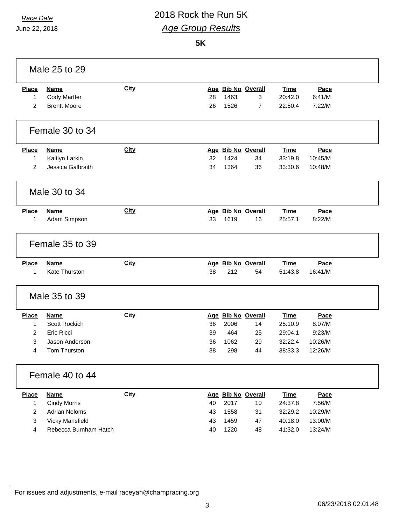## *Race Date* 2018 Rock the Run 5K *Age Group Results*

**5K**

| Male 25 to 29                       |                                                           |             |          |              |                                           |                                   |                          |  |
|-------------------------------------|-----------------------------------------------------------|-------------|----------|--------------|-------------------------------------------|-----------------------------------|--------------------------|--|
| <b>Place</b><br>1<br>$\overline{2}$ | <b>Name</b><br><b>Cody Martter</b><br><b>Brentt Moore</b> | <b>City</b> | 28<br>26 | 1463<br>1526 | Age Bib No Overall<br>3<br>$\overline{7}$ | <b>Time</b><br>20:42.0<br>22:50.4 | Pace<br>6:41/M<br>7:22/M |  |
|                                     | Female 30 to 34                                           |             |          |              |                                           |                                   |                          |  |
|                                     |                                                           |             |          |              |                                           |                                   |                          |  |
| <b>Place</b>                        | <b>Name</b>                                               | <b>City</b> |          |              | Age Bib No Overall                        | <b>Time</b>                       | Pace                     |  |
| 1                                   | Kaitlyn Larkin                                            |             | 32       | 1424         | 34                                        | 33:19.8                           | 10:45/M                  |  |
| 2                                   | Jessica Galbraith                                         |             | 34       | 1364         | 36                                        | 33:30.6                           | 10:48/M                  |  |
|                                     | Male 30 to 34                                             |             |          |              |                                           |                                   |                          |  |
| <b>Place</b>                        | <b>Name</b>                                               | <b>City</b> |          |              | Age Bib No Overall                        | <b>Time</b>                       | Pace                     |  |
| 1                                   | Adam Simpson                                              |             | 33       | 1619         | 16                                        | 25:57.1                           | 8:22/M                   |  |
|                                     | Female 35 to 39                                           |             |          |              |                                           |                                   |                          |  |
| <b>Place</b>                        | <b>Name</b>                                               | <b>City</b> |          |              | Age Bib No Overall                        | <b>Time</b>                       | Pace                     |  |
| 1                                   | <b>Kate Thurston</b>                                      |             | 38       | 212          | 54                                        | 51:43.8                           | 16:41/M                  |  |
|                                     | Male 35 to 39                                             |             |          |              |                                           |                                   |                          |  |
| <b>Place</b>                        | <b>Name</b>                                               | <b>City</b> |          |              | Age Bib No Overall                        | <b>Time</b>                       | Pace                     |  |
| 1                                   | Scott Rockich                                             |             | 36       | 2006         | 14                                        | 25:10.9                           | 8:07/M                   |  |
| $\overline{2}$                      | <b>Eric Ricci</b>                                         |             | 39       | 464          | 25                                        | 29:04.1                           | 9:23/M                   |  |
| 3                                   | Jason Anderson                                            |             | 36       | 1062         | 29                                        | 32:22.4                           | 10:26/M                  |  |
| 4                                   | Tom Thurston                                              |             | 38       | 298          | 44                                        | 38:33.3                           | 12:26/M                  |  |
| Female 40 to 44                     |                                                           |             |          |              |                                           |                                   |                          |  |
| <b>Place</b>                        | <b>Name</b>                                               | City        |          |              | Age Bib No Overall                        | <b>Time</b>                       | Pace                     |  |
| 1                                   | <b>Cindy Morris</b>                                       |             | 40       | 2017         | 10                                        | 24:37.8                           | 7:56/M                   |  |
| 2                                   | <b>Adrian Neloms</b>                                      |             | 43       | 1558         | 31                                        | 32:29.2                           | 10:29/M                  |  |
| $\mathbf{3}$                        | <b>Vicky Mansfield</b>                                    |             | 43       | 1459         | 47                                        | 40:18.0                           | 13:00/M                  |  |
| 4                                   | Rebecca Burnham Hatch                                     |             | 40       | 1220         | 48                                        | 41:32.0                           | 13:24/M                  |  |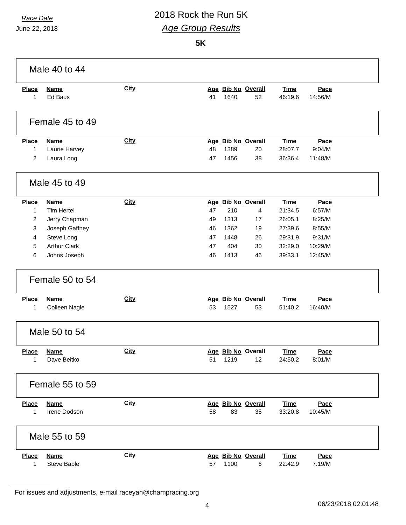# *Race Date* 2018 Rock the Run 5K *Age Group Results*

June 22, 2018

**5K**

| Male 40 to 44                  |                             |             |          |              |                          |                        |                   |  |
|--------------------------------|-----------------------------|-------------|----------|--------------|--------------------------|------------------------|-------------------|--|
| <b>Place</b><br>1              | <b>Name</b><br>Ed Baus      | City        | 41       | 1640         | Age Bib No Overall<br>52 | <b>Time</b><br>46:19.6 | Pace<br>14:56/M   |  |
|                                | Female 45 to 49             |             |          |              |                          |                        |                   |  |
| Place                          | <b>Name</b>                 | <b>City</b> |          |              | Age Bib No Overall       | <b>Time</b>            | Pace              |  |
| $\mathbf{1}$<br>$\overline{2}$ | Laurie Harvey<br>Laura Long |             | 48<br>47 | 1389<br>1456 | 20<br>38                 | 28:07.7<br>36:36.4     | 9:04/M<br>11:48/M |  |
|                                | Male 45 to 49               |             |          |              |                          |                        |                   |  |
| Place                          | <b>Name</b>                 | <b>City</b> |          |              | Age Bib No Overall       | <b>Time</b>            | Pace              |  |
| 1                              | <b>Tim Hertel</b>           |             | 47       | 210          | 4                        | 21:34.5                | 6:57/M            |  |
| $\overline{2}$                 | Jerry Chapman               |             | 49       | 1313         | 17                       | 26:05.1                | 8:25/M            |  |
| 3                              | Joseph Gaffney              |             | 46       | 1362         | 19                       | 27:39.6                | 8:55/M            |  |
| 4                              | Steve Long                  |             | 47       | 1448         | 26                       | 29:31.9                | 9:31/M            |  |
| 5                              | <b>Arthur Clark</b>         |             | 47       | 404          | 30                       | 32:29.0                | 10:29/M           |  |
| 6                              | Johns Joseph                |             | 46       | 1413         | 46                       | 39:33.1                | 12:45/M           |  |
|                                | Female 50 to 54             |             |          |              |                          |                        |                   |  |
| <b>Place</b>                   | <b>Name</b>                 | <b>City</b> |          |              | Age Bib No Overall       | <b>Time</b>            | Pace              |  |
| 1                              | Colleen Nagle               |             | 53       | 1527         | 53                       | 51:40.2                | 16:40/M           |  |
|                                | Male 50 to 54               |             |          |              |                          |                        |                   |  |
| <b>Place</b>                   | <b>Name</b>                 | <b>City</b> |          |              | Age Bib No Overall       | <b>Time</b>            | Pace              |  |
| $\mathbf{1}$                   | Dave Beitko                 |             | 51       | 1219         | 12                       | 24:50.2                | 8:01/M            |  |
| Female 55 to 59                |                             |             |          |              |                          |                        |                   |  |
| <b>Place</b>                   | <b>Name</b>                 | <b>City</b> |          |              | Age Bib No Overall       | <b>Time</b>            | Pace              |  |
| $\mathbf{1}$                   | Irene Dodson                |             | 58       | 83           | 35                       | 33:20.8                | 10:45/M           |  |
|                                | Male 55 to 59               |             |          |              |                          |                        |                   |  |
| <b>Place</b>                   | <b>Name</b>                 | <b>City</b> |          |              | Age Bib No Overall       | <b>Time</b>            | Pace              |  |
| 1                              | Steve Bable                 |             | 57       | 1100         | 6                        | 22:42.9                | 7:19/M            |  |